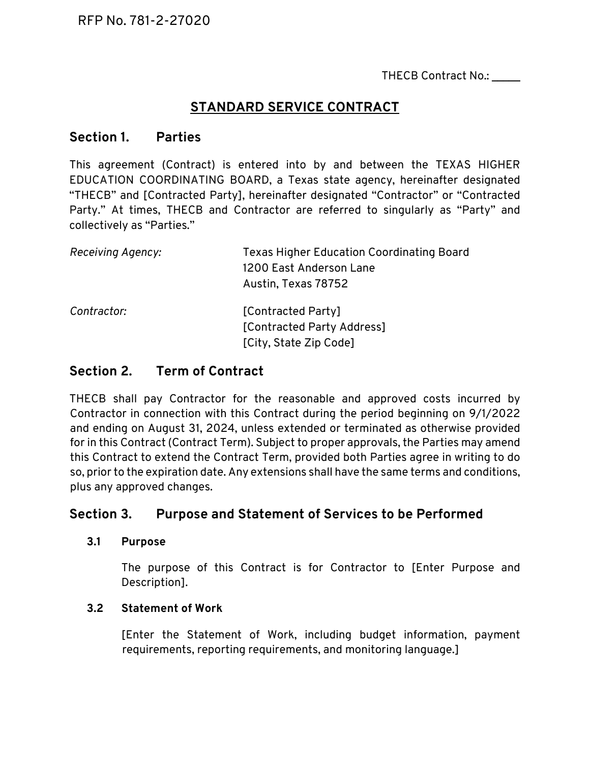THECB Contract No.:

# **STANDARD SERVICE CONTRACT**

# **Section 1. Parties**

This agreement (Contract) is entered into by and between the TEXAS HIGHER EDUCATION COORDINATING BOARD, a Texas state agency, hereinafter designated "THECB" and [Contracted Party], hereinafter designated "Contractor" or "Contracted Party." At times, THECB and Contractor are referred to singularly as "Party" and collectively as "Parties."

| Receiving Agency: | <b>Texas Higher Education Coordinating Board</b><br>1200 East Anderson Lane<br>Austin, Texas 78752 |
|-------------------|----------------------------------------------------------------------------------------------------|
| Contractor:       | [Contracted Party]<br>[Contracted Party Address]<br>[City, State Zip Code]                         |

# **Section 2. Term of Contract**

THECB shall pay Contractor for the reasonable and approved costs incurred by Contractor in connection with this Contract during the period beginning on 9/1/2022 and ending on August 31, 2024, unless extended or terminated as otherwise provided for in this Contract (Contract Term). Subject to proper approvals, the Parties may amend this Contract to extend the Contract Term, provided both Parties agree in writing to do so, prior to the expiration date. Any extensions shall have the same terms and conditions, plus any approved changes.

# **Section 3. Purpose and Statement of Services to be Performed**

#### **3.1 Purpose**

The purpose of this Contract is for Contractor to [Enter Purpose and Description].

# **3.2 Statement of Work**

[Enter the Statement of Work, including budget information, payment requirements, reporting requirements, and monitoring language.]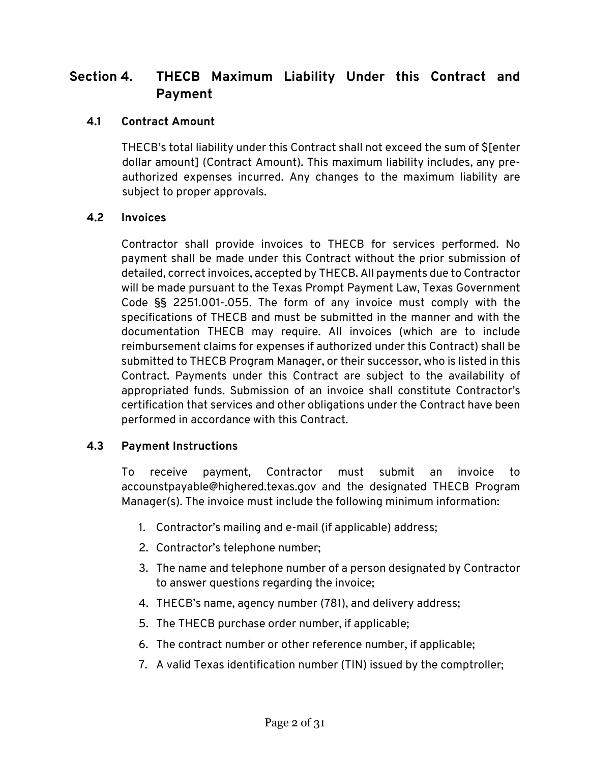# **Section 4. THECB Maximum Liability Under this Contract and Payment**

# **4.1 Contract Amount**

THECB's total liability under this Contract shall not exceed the sum of \$[enter dollar amount] (Contract Amount). This maximum liability includes, any preauthorized expenses incurred. Any changes to the maximum liability are subject to proper approvals.

#### **4.2 Invoices**

Contractor shall provide invoices to THECB for services performed. No payment shall be made under this Contract without the prior submission of detailed, correct invoices, accepted by THECB. All payments due to Contractor will be made pursuant to the Texas Prompt Payment Law, Texas Government Code §§ 2251.001-.055. The form of any invoice must comply with the specifications of THECB and must be submitted in the manner and with the documentation THECB may require. All invoices (which are to include reimbursement claims for expenses if authorized under this Contract) shall be submitted to THECB Program Manager, or their successor, who is listed in this Contract. Payments under this Contract are subject to the availability of appropriated funds. Submission of an invoice shall constitute Contractor's certification that services and other obligations under the Contract have been performed in accordance with this Contract.

# **4.3 Payment Instructions**

To receive payment, Contractor must submit an invoice to accounstpayable@highered.texas.gov and the designated THECB Program Manager(s). The invoice must include the following minimum information:

- 1. Contractor's mailing and e-mail (if applicable) address;
- 2. Contractor's telephone number;
- 3. The name and telephone number of a person designated by Contractor to answer questions regarding the invoice;
- 4. THECB's name, agency number (781), and delivery address;
- 5. The THECB purchase order number, if applicable;
- 6. The contract number or other reference number, if applicable;
- 7. A valid Texas identification number (TIN) issued by the comptroller;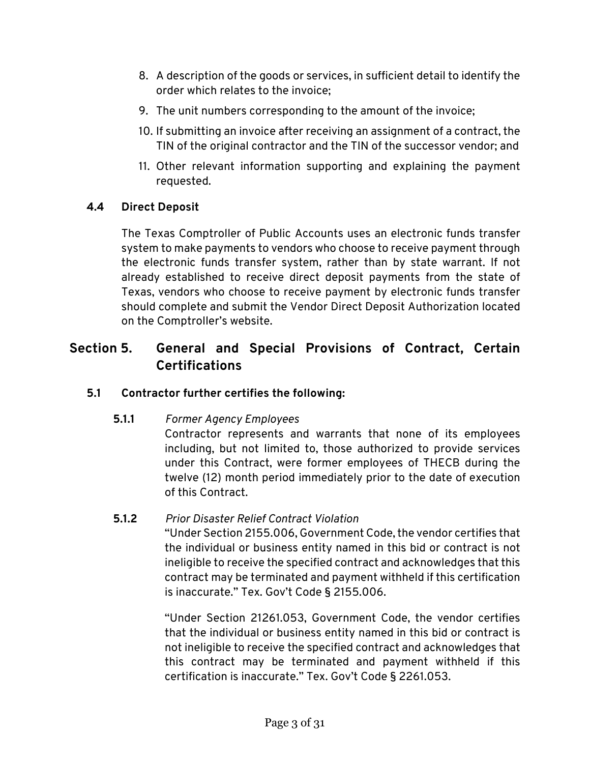- 8. A description of the goods or services, in sufficient detail to identify the order which relates to the invoice;
- 9. The unit numbers corresponding to the amount of the invoice;
- 10. If submitting an invoice after receiving an assignment of a contract, the TIN of the original contractor and the TIN of the successor vendor; and
- 11. Other relevant information supporting and explaining the payment requested.

# **4.4 Direct Deposit**

The Texas Comptroller of Public Accounts uses an electronic funds transfer system to make payments to vendors who choose to receive payment through the electronic funds transfer system, rather than by state warrant. If not already established to receive direct deposit payments from the state of Texas, vendors who choose to receive payment by electronic funds transfer should complete and submit the Vendor Direct Deposit Authorization located on the Comptroller's website.

# **Section 5. General and Special Provisions of Contract, Certain Certifications**

# **5.1 Contractor further certifies the following:**

**5.1.1** *Former Agency Employees*

Contractor represents and warrants that none of its employees including, but not limited to, those authorized to provide services under this Contract, were former employees of THECB during the twelve (12) month period immediately prior to the date of execution of this Contract.

# **5.1.2** *Prior Disaster Relief Contract Violation*

"Under Section 2155.006, Government Code, the vendor certifies that the individual or business entity named in this bid or contract is not ineligible to receive the specified contract and acknowledges that this contract may be terminated and payment withheld if this certification is inaccurate." Tex. Gov't Code § 2155.006.

"Under Section 21261.053, Government Code, the vendor certifies that the individual or business entity named in this bid or contract is not ineligible to receive the specified contract and acknowledges that this contract may be terminated and payment withheld if this certification is inaccurate." Tex. Gov't Code § 2261.053.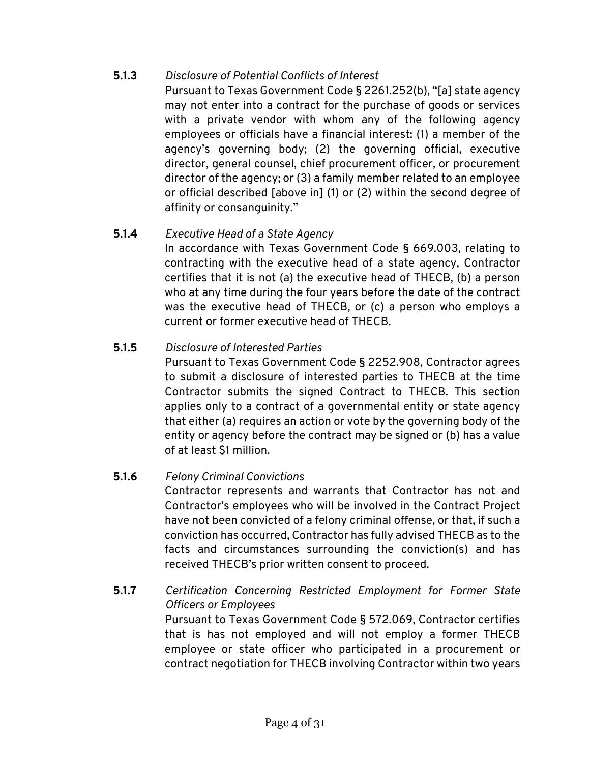# **5.1.3** *Disclosure of Potential Conflicts of Interest*

Pursuant to Texas Government Code § 2261.252(b), "[a] state agency may not enter into a contract for the purchase of goods or services with a private vendor with whom any of the following agency employees or officials have a financial interest: (1) a member of the agency's governing body; (2) the governing official, executive director, general counsel, chief procurement officer, or procurement director of the agency; or (3) a family member related to an employee or official described [above in] (1) or (2) within the second degree of affinity or consanguinity."

# **5.1.4** *Executive Head of a State Agency*

In accordance with Texas Government Code § 669.003, relating to contracting with the executive head of a state agency, Contractor certifies that it is not (a) the executive head of THECB, (b) a person who at any time during the four years before the date of the contract was the executive head of THECB, or (c) a person who employs a current or former executive head of THECB.

# **5.1.5** *Disclosure of Interested Parties*

Pursuant to Texas Government Code § 2252.908, Contractor agrees to submit a disclosure of interested parties to THECB at the time Contractor submits the signed Contract to THECB. This section applies only to a contract of a governmental entity or state agency that either (a) requires an action or vote by the governing body of the entity or agency before the contract may be signed or (b) has a value of at least \$1 million.

# **5.1.6** *Felony Criminal Convictions*

Contractor represents and warrants that Contractor has not and Contractor's employees who will be involved in the Contract Project have not been convicted of a felony criminal offense, or that, if such a conviction has occurred, Contractor has fully advised THECB as to the facts and circumstances surrounding the conviction(s) and has received THECB's prior written consent to proceed.

# **5.1.7** *Certification Concerning Restricted Employment for Former State Officers or Employees*

Pursuant to Texas Government Code § 572.069, Contractor certifies that is has not employed and will not employ a former THECB employee or state officer who participated in a procurement or contract negotiation for THECB involving Contractor within two years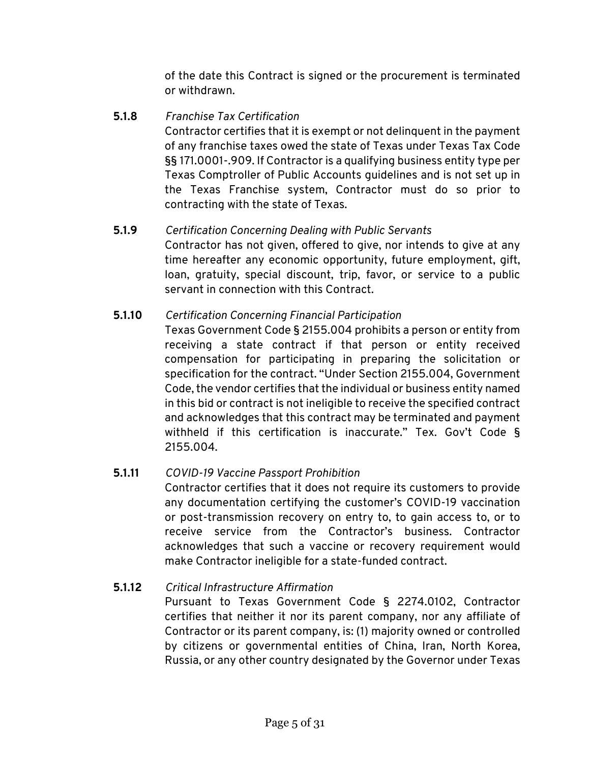of the date this Contract is signed or the procurement is terminated or withdrawn.

# **5.1.8** *Franchise Tax Certification*

Contractor certifies that it is exempt or not delinquent in the payment of any franchise taxes owed the state of Texas under Texas Tax Code §§ 171.0001-.909. If Contractor is a qualifying business entity type per Texas Comptroller of Public Accounts guidelines and is not set up in the Texas Franchise system, Contractor must do so prior to contracting with the state of Texas.

# **5.1.9** *Certification Concerning Dealing with Public Servants*

Contractor has not given, offered to give, nor intends to give at any time hereafter any economic opportunity, future employment, gift, loan, gratuity, special discount, trip, favor, or service to a public servant in connection with this Contract.

# **5.1.10** *Certification Concerning Financial Participation*

Texas Government Code § 2155.004 prohibits a person or entity from receiving a state contract if that person or entity received compensation for participating in preparing the solicitation or specification for the contract. "Under Section 2155.004, Government Code, the vendor certifies that the individual or business entity named in this bid or contract is not ineligible to receive the specified contract and acknowledges that this contract may be terminated and payment withheld if this certification is inaccurate." Tex. Gov't Code § 2155.004.

# **5.1.11** *COVID-19 Vaccine Passport Prohibition*

Contractor certifies that it does not require its customers to provide any documentation certifying the customer's COVID-19 vaccination or post-transmission recovery on entry to, to gain access to, or to receive service from the Contractor's business. Contractor acknowledges that such a vaccine or recovery requirement would make Contractor ineligible for a state-funded contract.

# **5.1.12** *Critical Infrastructure Affirmation*

Pursuant to Texas Government Code § 2274.0102, Contractor certifies that neither it nor its parent company, nor any affiliate of Contractor or its parent company, is: (1) majority owned or controlled by citizens or governmental entities of China, Iran, North Korea, Russia, or any other country designated by the Governor under Texas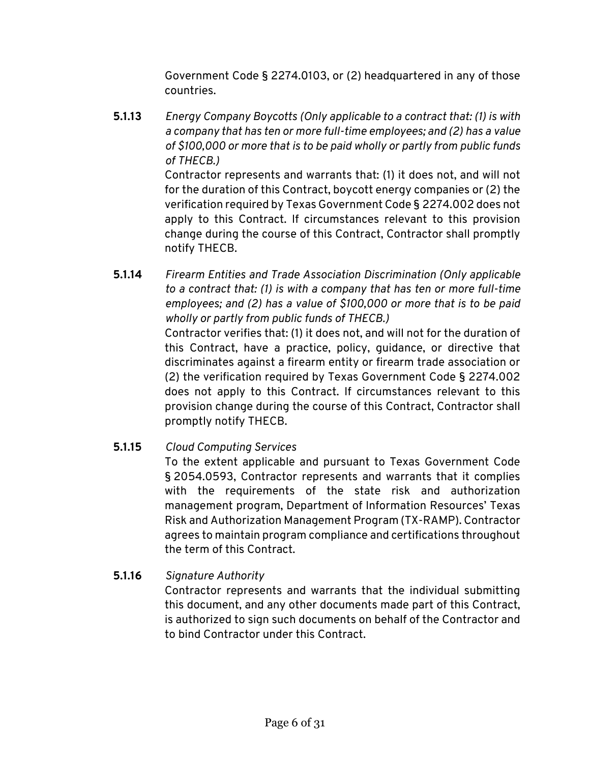Government Code § 2274.0103, or (2) headquartered in any of those countries.

**5.1.13** *Energy Company Boycotts (Only applicable to a contract that: (1) is with a company that has ten or more full-time employees; and (2) has a value of \$100,000 or more that is to be paid wholly or partly from public funds of THECB.)*

Contractor represents and warrants that: (1) it does not, and will not for the duration of this Contract, boycott energy companies or (2) the verification required by Texas Government Code § 2274.002 does not apply to this Contract. If circumstances relevant to this provision change during the course of this Contract, Contractor shall promptly notify THECB.

**5.1.14** *Firearm Entities and Trade Association Discrimination (Only applicable to a contract that: (1) is with a company that has ten or more full-time employees; and (2) has a value of \$100,000 or more that is to be paid wholly or partly from public funds of THECB.)*

Contractor verifies that: (1) it does not, and will not for the duration of this Contract, have a practice, policy, guidance, or directive that discriminates against a firearm entity or firearm trade association or (2) the verification required by Texas Government Code § 2274.002 does not apply to this Contract. If circumstances relevant to this provision change during the course of this Contract, Contractor shall promptly notify THECB.

# **5.1.15** *Cloud Computing Services*

To the extent applicable and pursuant to Texas Government Code § 2054.0593, Contractor represents and warrants that it complies with the requirements of the state risk and authorization management program, Department of Information Resources' Texas Risk and Authorization Management Program (TX-RAMP). Contractor agrees to maintain program compliance and certifications throughout the term of this Contract.

# **5.1.16** *Signature Authority*

Contractor represents and warrants that the individual submitting this document, and any other documents made part of this Contract, is authorized to sign such documents on behalf of the Contractor and to bind Contractor under this Contract.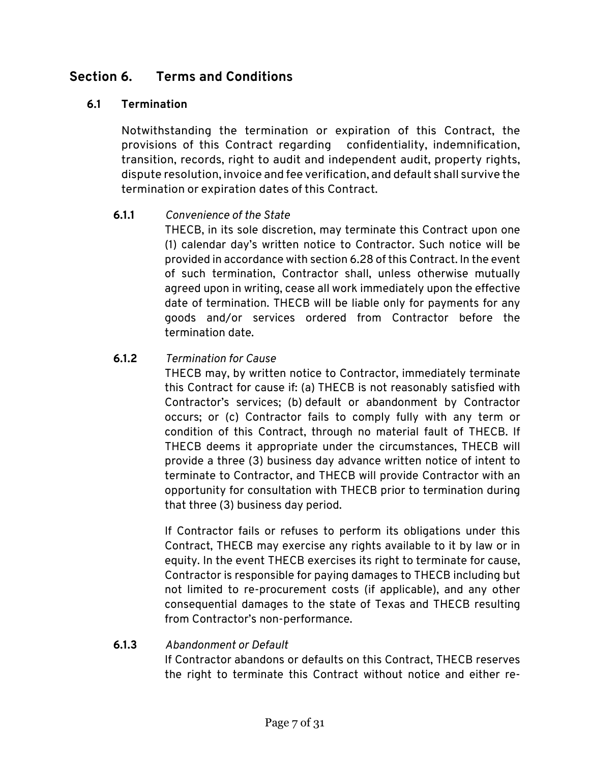# **Section 6. Terms and Conditions**

# **6.1 Termination**

Notwithstanding the termination or expiration of this Contract, the provisions of this Contract regarding confidentiality, indemnification, transition, records, right to audit and independent audit, property rights, dispute resolution, invoice and fee verification, and default shall survive the termination or expiration dates of this Contract.

#### **6.1.1** *Convenience of the State*

THECB, in its sole discretion, may terminate this Contract upon one (1) calendar day's written notice to Contractor. Such notice will be provided in accordance with section 6.28 of this Contract. In the event of such termination, Contractor shall, unless otherwise mutually agreed upon in writing, cease all work immediately upon the effective date of termination. THECB will be liable only for payments for any goods and/or services ordered from Contractor before the termination date.

#### **6.1.2** *Termination for Cause*

THECB may, by written notice to Contractor, immediately terminate this Contract for cause if: (a) THECB is not reasonably satisfied with Contractor's services; (b) default or abandonment by Contractor occurs; or (c) Contractor fails to comply fully with any term or condition of this Contract, through no material fault of THECB. If THECB deems it appropriate under the circumstances, THECB will provide a three (3) business day advance written notice of intent to terminate to Contractor, and THECB will provide Contractor with an opportunity for consultation with THECB prior to termination during that three (3) business day period.

If Contractor fails or refuses to perform its obligations under this Contract, THECB may exercise any rights available to it by law or in equity. In the event THECB exercises its right to terminate for cause, Contractor is responsible for paying damages to THECB including but not limited to re-procurement costs (if applicable), and any other consequential damages to the state of Texas and THECB resulting from Contractor's non-performance.

# **6.1.3** *Abandonment or Default*

If Contractor abandons or defaults on this Contract, THECB reserves the right to terminate this Contract without notice and either re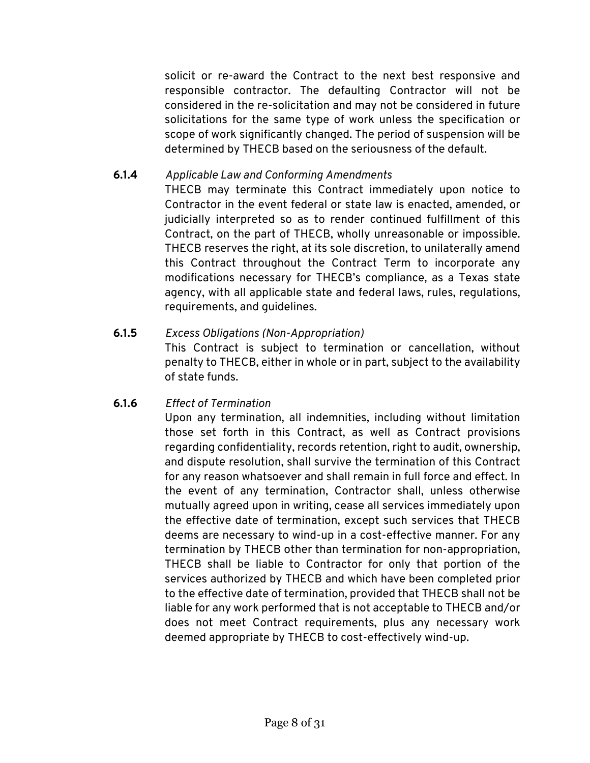solicit or re-award the Contract to the next best responsive and responsible contractor. The defaulting Contractor will not be considered in the re-solicitation and may not be considered in future solicitations for the same type of work unless the specification or scope of work significantly changed. The period of suspension will be determined by THECB based on the seriousness of the default.

# **6.1.4** *Applicable Law and Conforming Amendments*

THECB may terminate this Contract immediately upon notice to Contractor in the event federal or state law is enacted, amended, or judicially interpreted so as to render continued fulfillment of this Contract, on the part of THECB, wholly unreasonable or impossible. THECB reserves the right, at its sole discretion, to unilaterally amend this Contract throughout the Contract Term to incorporate any modifications necessary for THECB's compliance, as a Texas state agency, with all applicable state and federal laws, rules, regulations, requirements, and guidelines.

# **6.1.5** *Excess Obligations (Non-Appropriation)*

This Contract is subject to termination or cancellation, without penalty to THECB, either in whole or in part, subject to the availability of state funds.

# **6.1.6** *Effect of Termination*

Upon any termination, all indemnities, including without limitation those set forth in this Contract, as well as Contract provisions regarding confidentiality, records retention, right to audit, ownership, and dispute resolution, shall survive the termination of this Contract for any reason whatsoever and shall remain in full force and effect. In the event of any termination, Contractor shall, unless otherwise mutually agreed upon in writing, cease all services immediately upon the effective date of termination, except such services that THECB deems are necessary to wind-up in a cost-effective manner. For any termination by THECB other than termination for non-appropriation, THECB shall be liable to Contractor for only that portion of the services authorized by THECB and which have been completed prior to the effective date of termination, provided that THECB shall not be liable for any work performed that is not acceptable to THECB and/or does not meet Contract requirements, plus any necessary work deemed appropriate by THECB to cost-effectively wind-up.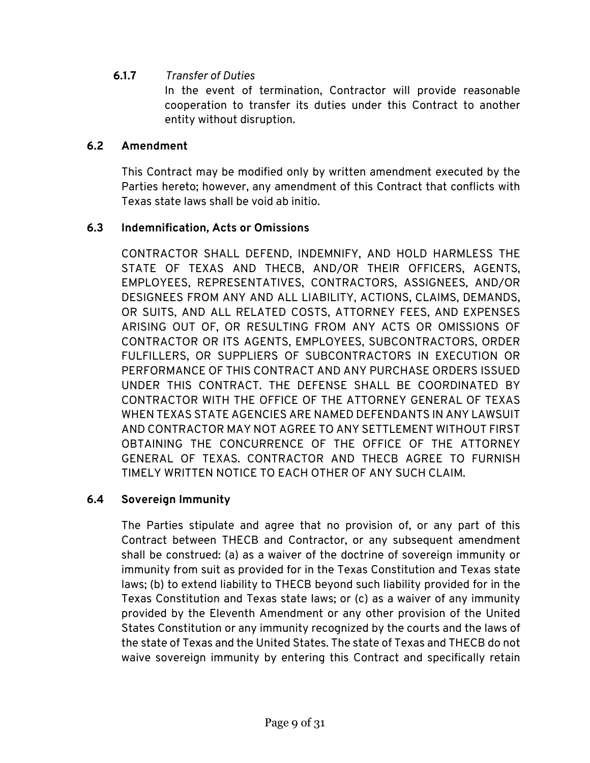# **6.1.7** *Transfer of Duties*

In the event of termination, Contractor will provide reasonable cooperation to transfer its duties under this Contract to another entity without disruption.

#### **6.2 Amendment**

This Contract may be modified only by written amendment executed by the Parties hereto; however, any amendment of this Contract that conflicts with Texas state laws shall be void ab initio.

#### **6.3 Indemnification, Acts or Omissions**

CONTRACTOR SHALL DEFEND, INDEMNIFY, AND HOLD HARMLESS THE STATE OF TEXAS AND THECB, AND/OR THEIR OFFICERS, AGENTS, EMPLOYEES, REPRESENTATIVES, CONTRACTORS, ASSIGNEES, AND/OR DESIGNEES FROM ANY AND ALL LIABILITY, ACTIONS, CLAIMS, DEMANDS, OR SUITS, AND ALL RELATED COSTS, ATTORNEY FEES, AND EXPENSES ARISING OUT OF, OR RESULTING FROM ANY ACTS OR OMISSIONS OF CONTRACTOR OR ITS AGENTS, EMPLOYEES, SUBCONTRACTORS, ORDER FULFILLERS, OR SUPPLIERS OF SUBCONTRACTORS IN EXECUTION OR PERFORMANCE OF THIS CONTRACT AND ANY PURCHASE ORDERS ISSUED UNDER THIS CONTRACT. THE DEFENSE SHALL BE COORDINATED BY CONTRACTOR WITH THE OFFICE OF THE ATTORNEY GENERAL OF TEXAS WHEN TEXAS STATE AGENCIES ARE NAMED DEFENDANTS IN ANY LAWSUIT AND CONTRACTOR MAY NOT AGREE TO ANY SETTLEMENT WITHOUT FIRST OBTAINING THE CONCURRENCE OF THE OFFICE OF THE ATTORNEY GENERAL OF TEXAS. CONTRACTOR AND THECB AGREE TO FURNISH TIMELY WRITTEN NOTICE TO EACH OTHER OF ANY SUCH CLAIM.

#### **6.4 Sovereign Immunity**

The Parties stipulate and agree that no provision of, or any part of this Contract between THECB and Contractor, or any subsequent amendment shall be construed: (a) as a waiver of the doctrine of sovereign immunity or immunity from suit as provided for in the Texas Constitution and Texas state laws; (b) to extend liability to THECB beyond such liability provided for in the Texas Constitution and Texas state laws; or (c) as a waiver of any immunity provided by the Eleventh Amendment or any other provision of the United States Constitution or any immunity recognized by the courts and the laws of the state of Texas and the United States. The state of Texas and THECB do not waive sovereign immunity by entering this Contract and specifically retain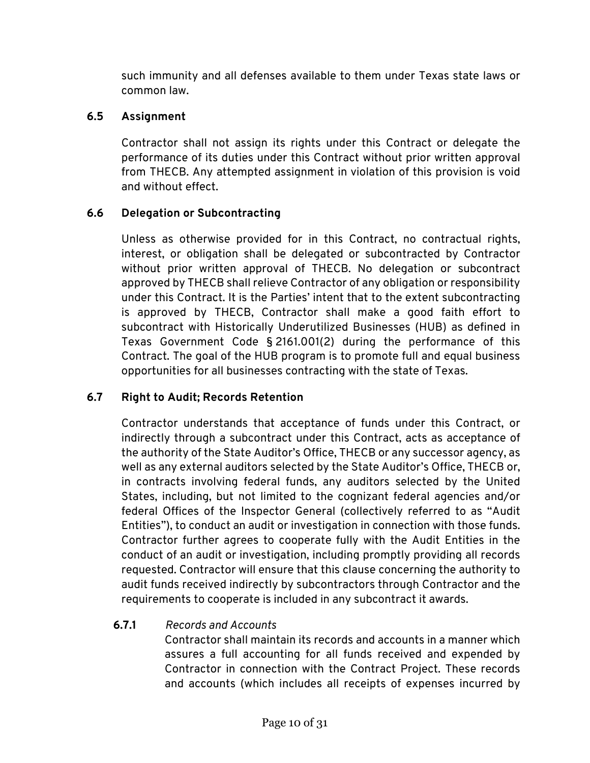such immunity and all defenses available to them under Texas state laws or common law.

# **6.5 Assignment**

Contractor shall not assign its rights under this Contract or delegate the performance of its duties under this Contract without prior written approval from THECB. Any attempted assignment in violation of this provision is void and without effect.

# **6.6 Delegation or Subcontracting**

Unless as otherwise provided for in this Contract, no contractual rights, interest, or obligation shall be delegated or subcontracted by Contractor without prior written approval of THECB. No delegation or subcontract approved by THECB shall relieve Contractor of any obligation or responsibility under this Contract. It is the Parties' intent that to the extent subcontracting is approved by THECB, Contractor shall make a good faith effort to subcontract with Historically Underutilized Businesses (HUB) as defined in Texas Government Code § 2161.001(2) during the performance of this Contract. The goal of the HUB program is to promote full and equal business opportunities for all businesses contracting with the state of Texas.

# **6.7 Right to Audit; Records Retention**

Contractor understands that acceptance of funds under this Contract, or indirectly through a subcontract under this Contract, acts as acceptance of the authority of the State Auditor's Office, THECB or any successor agency, as well as any external auditors selected by the State Auditor's Office, THECB or, in contracts involving federal funds, any auditors selected by the United States, including, but not limited to the cognizant federal agencies and/or federal Offices of the Inspector General (collectively referred to as "Audit Entities"), to conduct an audit or investigation in connection with those funds. Contractor further agrees to cooperate fully with the Audit Entities in the conduct of an audit or investigation, including promptly providing all records requested. Contractor will ensure that this clause concerning the authority to audit funds received indirectly by subcontractors through Contractor and the requirements to cooperate is included in any subcontract it awards.

# **6.7.1** *Records and Accounts*

Contractor shall maintain its records and accounts in a manner which assures a full accounting for all funds received and expended by Contractor in connection with the Contract Project. These records and accounts (which includes all receipts of expenses incurred by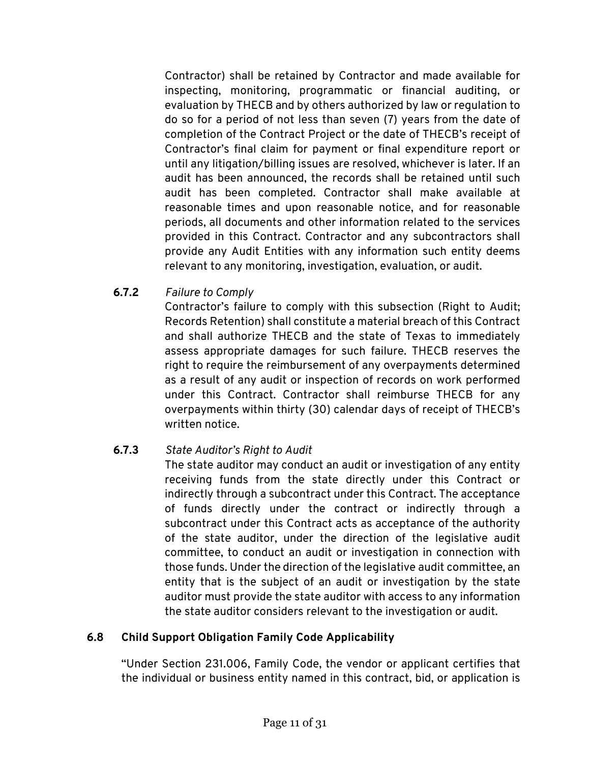Contractor) shall be retained by Contractor and made available for inspecting, monitoring, programmatic or financial auditing, or evaluation by THECB and by others authorized by law or regulation to do so for a period of not less than seven (7) years from the date of completion of the Contract Project or the date of THECB's receipt of Contractor's final claim for payment or final expenditure report or until any litigation/billing issues are resolved, whichever is later. If an audit has been announced, the records shall be retained until such audit has been completed. Contractor shall make available at reasonable times and upon reasonable notice, and for reasonable periods, all documents and other information related to the services provided in this Contract. Contractor and any subcontractors shall provide any Audit Entities with any information such entity deems relevant to any monitoring, investigation, evaluation, or audit.

**6.7.2** *Failure to Comply*

Contractor's failure to comply with this subsection (Right to Audit; Records Retention) shall constitute a material breach of this Contract and shall authorize THECB and the state of Texas to immediately assess appropriate damages for such failure. THECB reserves the right to require the reimbursement of any overpayments determined as a result of any audit or inspection of records on work performed under this Contract. Contractor shall reimburse THECB for any overpayments within thirty (30) calendar days of receipt of THECB's written notice.

# **6.7.3** *State Auditor's Right to Audit*

The state auditor may conduct an audit or investigation of any entity receiving funds from the state directly under this Contract or indirectly through a subcontract under this Contract. The acceptance of funds directly under the contract or indirectly through a subcontract under this Contract acts as acceptance of the authority of the state auditor, under the direction of the legislative audit committee, to conduct an audit or investigation in connection with those funds. Under the direction of the legislative audit committee, an entity that is the subject of an audit or investigation by the state auditor must provide the state auditor with access to any information the state auditor considers relevant to the investigation or audit.

# **6.8 Child Support Obligation Family Code Applicability**

"Under Section 231.006, Family Code, the vendor or applicant certifies that the individual or business entity named in this contract, bid, or application is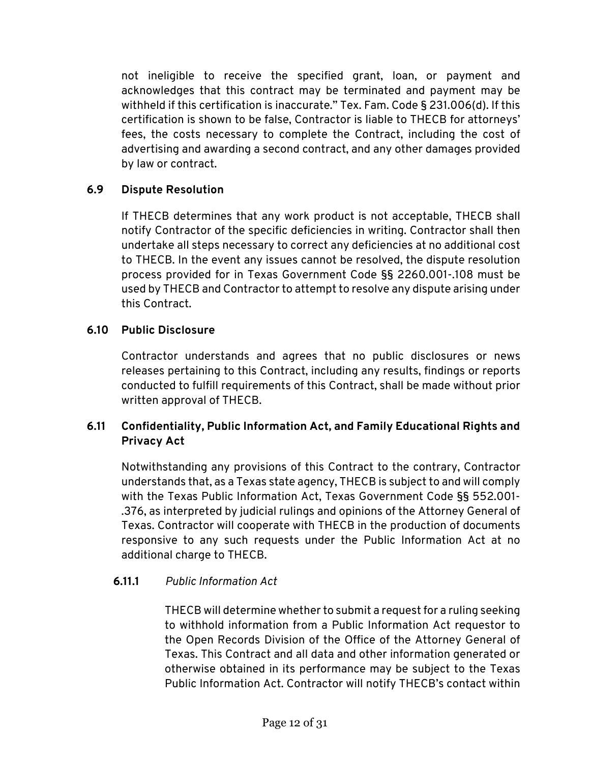not ineligible to receive the specified grant, loan, or payment and acknowledges that this contract may be terminated and payment may be withheld if this certification is inaccurate." Tex. Fam. Code § 231.006(d). If this certification is shown to be false, Contractor is liable to THECB for attorneys' fees, the costs necessary to complete the Contract, including the cost of advertising and awarding a second contract, and any other damages provided by law or contract.

# **6.9 Dispute Resolution**

If THECB determines that any work product is not acceptable, THECB shall notify Contractor of the specific deficiencies in writing. Contractor shall then undertake all steps necessary to correct any deficiencies at no additional cost to THECB. In the event any issues cannot be resolved, the dispute resolution process provided for in Texas Government Code §§ 2260.001-.108 must be used by THECB and Contractor to attempt to resolve any dispute arising under this Contract.

# **6.10 Public Disclosure**

Contractor understands and agrees that no public disclosures or news releases pertaining to this Contract, including any results, findings or reports conducted to fulfill requirements of this Contract, shall be made without prior written approval of THECB.

# **6.11 Confidentiality, Public Information Act, and Family Educational Rights and Privacy Act**

Notwithstanding any provisions of this Contract to the contrary, Contractor understands that, as a Texas state agency, THECB is subject to and will comply with the Texas Public Information Act, Texas Government Code §§ 552.001- .376, as interpreted by judicial rulings and opinions of the Attorney General of Texas. Contractor will cooperate with THECB in the production of documents responsive to any such requests under the Public Information Act at no additional charge to THECB.

# **6.11.1** *Public Information Act*

THECB will determine whether to submit a request for a ruling seeking to withhold information from a Public Information Act requestor to the Open Records Division of the Office of the Attorney General of Texas. This Contract and all data and other information generated or otherwise obtained in its performance may be subject to the Texas Public Information Act. Contractor will notify THECB's contact within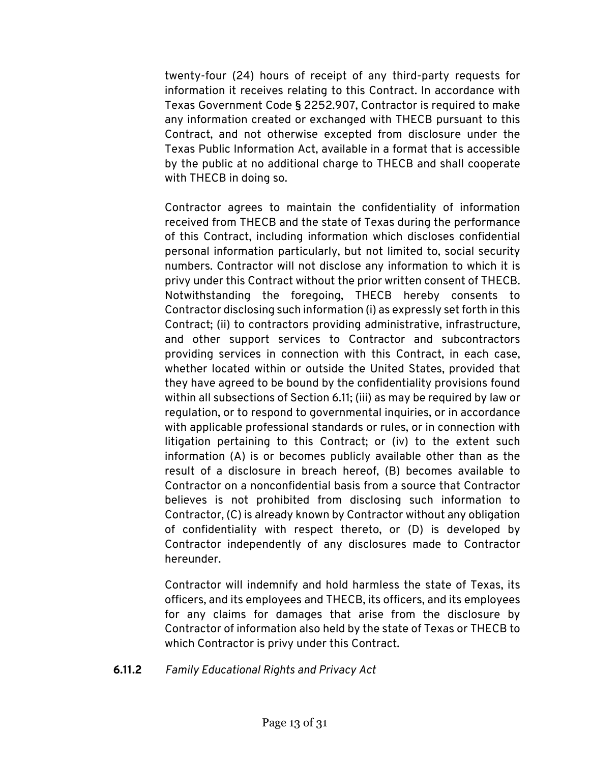twenty-four (24) hours of receipt of any third-party requests for information it receives relating to this Contract. In accordance with Texas Government Code § 2252.907, Contractor is required to make any information created or exchanged with THECB pursuant to this Contract, and not otherwise excepted from disclosure under the Texas Public Information Act, available in a format that is accessible by the public at no additional charge to THECB and shall cooperate with THECB in doing so.

Contractor agrees to maintain the confidentiality of information received from THECB and the state of Texas during the performance of this Contract, including information which discloses confidential personal information particularly, but not limited to, social security numbers. Contractor will not disclose any information to which it is privy under this Contract without the prior written consent of THECB. Notwithstanding the foregoing, THECB hereby consents to Contractor disclosing such information (i) as expressly set forth in this Contract; (ii) to contractors providing administrative, infrastructure, and other support services to Contractor and subcontractors providing services in connection with this Contract, in each case, whether located within or outside the United States, provided that they have agreed to be bound by the confidentiality provisions found within all subsections of Section 6.11; (iii) as may be required by law or regulation, or to respond to governmental inquiries, or in accordance with applicable professional standards or rules, or in connection with litigation pertaining to this Contract; or (iv) to the extent such information (A) is or becomes publicly available other than as the result of a disclosure in breach hereof, (B) becomes available to Contractor on a nonconfidential basis from a source that Contractor believes is not prohibited from disclosing such information to Contractor, (C) is already known by Contractor without any obligation of confidentiality with respect thereto, or (D) is developed by Contractor independently of any disclosures made to Contractor hereunder.

Contractor will indemnify and hold harmless the state of Texas, its officers, and its employees and THECB, its officers, and its employees for any claims for damages that arise from the disclosure by Contractor of information also held by the state of Texas or THECB to which Contractor is privy under this Contract.

#### **6.11.2** *Family Educational Rights and Privacy Act*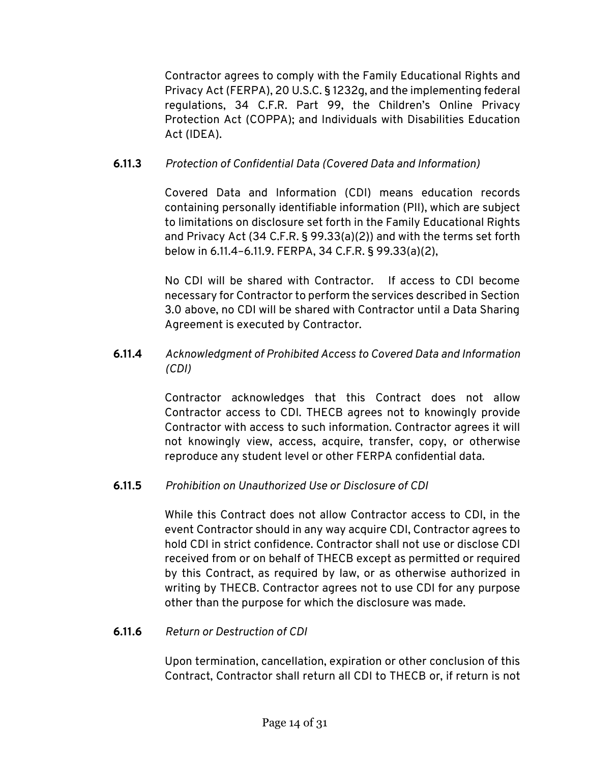Contractor agrees to comply with the Family Educational Rights and Privacy Act (FERPA), 20 U.S.C. § 1232g, and the implementing federal regulations, 34 C.F.R. Part 99, the Children's Online Privacy Protection Act (COPPA); and Individuals with Disabilities Education Act (IDEA).

# **6.11.3** *Protection of Confidential Data (Covered Data and Information)*

Covered Data and Information (CDI) means education records containing personally identifiable information (PII), which are subject to limitations on disclosure set forth in the Family Educational Rights and Privacy Act (34 C.F.R. § 99.33(a)(2)) and with the terms set forth below in 6.11.4–6.11.9. FERPA, 34 C.F.R. § 99.33(a)(2),

No CDI will be shared with Contractor. If access to CDI become necessary for Contractor to perform the services described in Section 3.0 above, no CDI will be shared with Contractor until a Data Sharing Agreement is executed by Contractor.

# **6.11.4** *Acknowledgment of Prohibited Access to Covered Data and Information (CDI)*

Contractor acknowledges that this Contract does not allow Contractor access to CDI. THECB agrees not to knowingly provide Contractor with access to such information. Contractor agrees it will not knowingly view, access, acquire, transfer, copy, or otherwise reproduce any student level or other FERPA confidential data.

# **6.11.5** *Prohibition on Unauthorized Use or Disclosure of CDI*

While this Contract does not allow Contractor access to CDI, in the event Contractor should in any way acquire CDI, Contractor agrees to hold CDI in strict confidence. Contractor shall not use or disclose CDI received from or on behalf of THECB except as permitted or required by this Contract, as required by law, or as otherwise authorized in writing by THECB. Contractor agrees not to use CDI for any purpose other than the purpose for which the disclosure was made.

# **6.11.6** *Return or Destruction of CDI*

Upon termination, cancellation, expiration or other conclusion of this Contract, Contractor shall return all CDI to THECB or, if return is not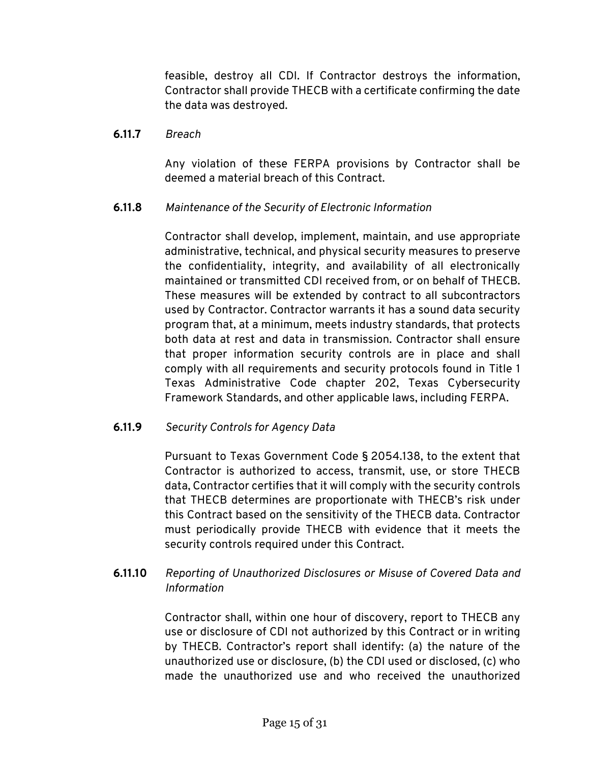feasible, destroy all CDI. If Contractor destroys the information, Contractor shall provide THECB with a certificate confirming the date the data was destroyed.

#### **6.11.7** *Breach*

Any violation of these FERPA provisions by Contractor shall be deemed a material breach of this Contract.

#### **6.11.8** *Maintenance of the Security of Electronic Information*

Contractor shall develop, implement, maintain, and use appropriate administrative, technical, and physical security measures to preserve the confidentiality, integrity, and availability of all electronically maintained or transmitted CDI received from, or on behalf of THECB. These measures will be extended by contract to all subcontractors used by Contractor. Contractor warrants it has a sound data security program that, at a minimum, meets industry standards, that protects both data at rest and data in transmission. Contractor shall ensure that proper information security controls are in place and shall comply with all requirements and security protocols found in Title 1 Texas Administrative Code chapter 202, Texas Cybersecurity Framework Standards, and other applicable laws, including FERPA.

#### **6.11.9** *Security Controls for Agency Data*

Pursuant to Texas Government Code § 2054.138, to the extent that Contractor is authorized to access, transmit, use, or store THECB data, Contractor certifies that it will comply with the security controls that THECB determines are proportionate with THECB's risk under this Contract based on the sensitivity of the THECB data. Contractor must periodically provide THECB with evidence that it meets the security controls required under this Contract.

# **6.11.10** *Reporting of Unauthorized Disclosures or Misuse of Covered Data and Information*

Contractor shall, within one hour of discovery, report to THECB any use or disclosure of CDI not authorized by this Contract or in writing by THECB. Contractor's report shall identify: (a) the nature of the unauthorized use or disclosure, (b) the CDI used or disclosed, (c) who made the unauthorized use and who received the unauthorized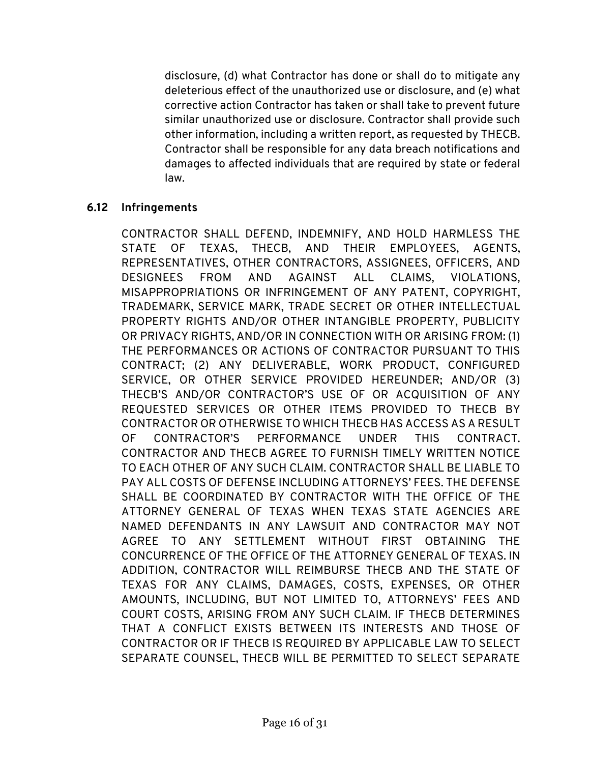disclosure, (d) what Contractor has done or shall do to mitigate any deleterious effect of the unauthorized use or disclosure, and (e) what corrective action Contractor has taken or shall take to prevent future similar unauthorized use or disclosure. Contractor shall provide such other information, including a written report, as requested by THECB. Contractor shall be responsible for any data breach notifications and damages to affected individuals that are required by state or federal law.

#### **6.12 Infringements**

CONTRACTOR SHALL DEFEND, INDEMNIFY, AND HOLD HARMLESS THE STATE OF TEXAS, THECB, AND THEIR EMPLOYEES, AGENTS, REPRESENTATIVES, OTHER CONTRACTORS, ASSIGNEES, OFFICERS, AND DESIGNEES FROM AND AGAINST ALL CLAIMS, VIOLATIONS, MISAPPROPRIATIONS OR INFRINGEMENT OF ANY PATENT, COPYRIGHT, TRADEMARK, SERVICE MARK, TRADE SECRET OR OTHER INTELLECTUAL PROPERTY RIGHTS AND/OR OTHER INTANGIBLE PROPERTY, PUBLICITY OR PRIVACY RIGHTS, AND/OR IN CONNECTION WITH OR ARISING FROM: (1) THE PERFORMANCES OR ACTIONS OF CONTRACTOR PURSUANT TO THIS CONTRACT; (2) ANY DELIVERABLE, WORK PRODUCT, CONFIGURED SERVICE, OR OTHER SERVICE PROVIDED HEREUNDER; AND/OR (3) THECB'S AND/OR CONTRACTOR'S USE OF OR ACQUISITION OF ANY REQUESTED SERVICES OR OTHER ITEMS PROVIDED TO THECB BY CONTRACTOR OR OTHERWISE TO WHICH THECB HAS ACCESS AS A RESULT OF CONTRACTOR'S PERFORMANCE UNDER THIS CONTRACT. CONTRACTOR AND THECB AGREE TO FURNISH TIMELY WRITTEN NOTICE TO EACH OTHER OF ANY SUCH CLAIM. CONTRACTOR SHALL BE LIABLE TO PAY ALL COSTS OF DEFENSE INCLUDING ATTORNEYS' FEES. THE DEFENSE SHALL BE COORDINATED BY CONTRACTOR WITH THE OFFICE OF THE ATTORNEY GENERAL OF TEXAS WHEN TEXAS STATE AGENCIES ARE NAMED DEFENDANTS IN ANY LAWSUIT AND CONTRACTOR MAY NOT AGREE TO ANY SETTLEMENT WITHOUT FIRST OBTAINING THE CONCURRENCE OF THE OFFICE OF THE ATTORNEY GENERAL OF TEXAS. IN ADDITION, CONTRACTOR WILL REIMBURSE THECB AND THE STATE OF TEXAS FOR ANY CLAIMS, DAMAGES, COSTS, EXPENSES, OR OTHER AMOUNTS, INCLUDING, BUT NOT LIMITED TO, ATTORNEYS' FEES AND COURT COSTS, ARISING FROM ANY SUCH CLAIM. IF THECB DETERMINES THAT A CONFLICT EXISTS BETWEEN ITS INTERESTS AND THOSE OF CONTRACTOR OR IF THECB IS REQUIRED BY APPLICABLE LAW TO SELECT SEPARATE COUNSEL, THECB WILL BE PERMITTED TO SELECT SEPARATE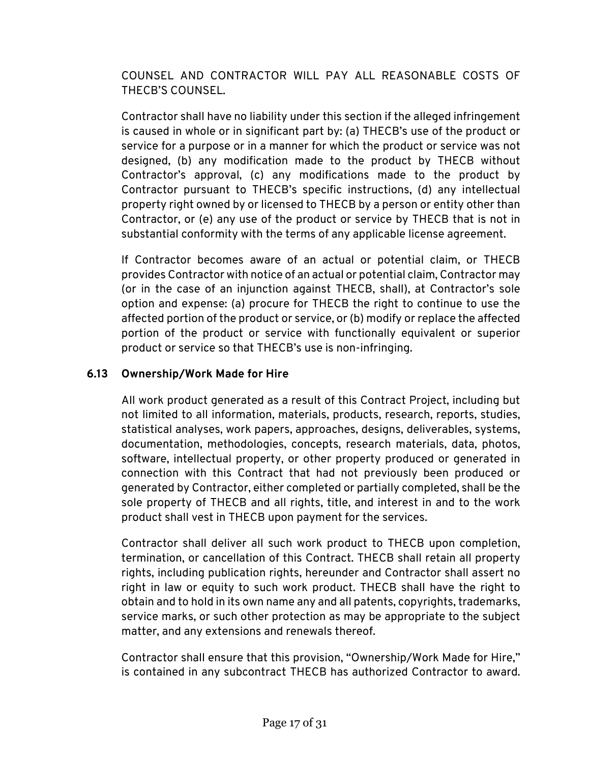COUNSEL AND CONTRACTOR WILL PAY ALL REASONABLE COSTS OF THECB'S COUNSEL.

Contractor shall have no liability under this section if the alleged infringement is caused in whole or in significant part by: (a) THECB's use of the product or service for a purpose or in a manner for which the product or service was not designed, (b) any modification made to the product by THECB without Contractor's approval, (c) any modifications made to the product by Contractor pursuant to THECB's specific instructions, (d) any intellectual property right owned by or licensed to THECB by a person or entity other than Contractor, or (e) any use of the product or service by THECB that is not in substantial conformity with the terms of any applicable license agreement.

If Contractor becomes aware of an actual or potential claim, or THECB provides Contractor with notice of an actual or potential claim, Contractor may (or in the case of an injunction against THECB, shall), at Contractor's sole option and expense: (a) procure for THECB the right to continue to use the affected portion of the product or service, or (b) modify or replace the affected portion of the product or service with functionally equivalent or superior product or service so that THECB's use is non-infringing.

# **6.13 Ownership/Work Made for Hire**

All work product generated as a result of this Contract Project, including but not limited to all information, materials, products, research, reports, studies, statistical analyses, work papers, approaches, designs, deliverables, systems, documentation, methodologies, concepts, research materials, data, photos, software, intellectual property, or other property produced or generated in connection with this Contract that had not previously been produced or generated by Contractor, either completed or partially completed, shall be the sole property of THECB and all rights, title, and interest in and to the work product shall vest in THECB upon payment for the services.

Contractor shall deliver all such work product to THECB upon completion, termination, or cancellation of this Contract. THECB shall retain all property rights, including publication rights, hereunder and Contractor shall assert no right in law or equity to such work product. THECB shall have the right to obtain and to hold in its own name any and all patents, copyrights, trademarks, service marks, or such other protection as may be appropriate to the subject matter, and any extensions and renewals thereof.

Contractor shall ensure that this provision, "Ownership/Work Made for Hire," is contained in any subcontract THECB has authorized Contractor to award.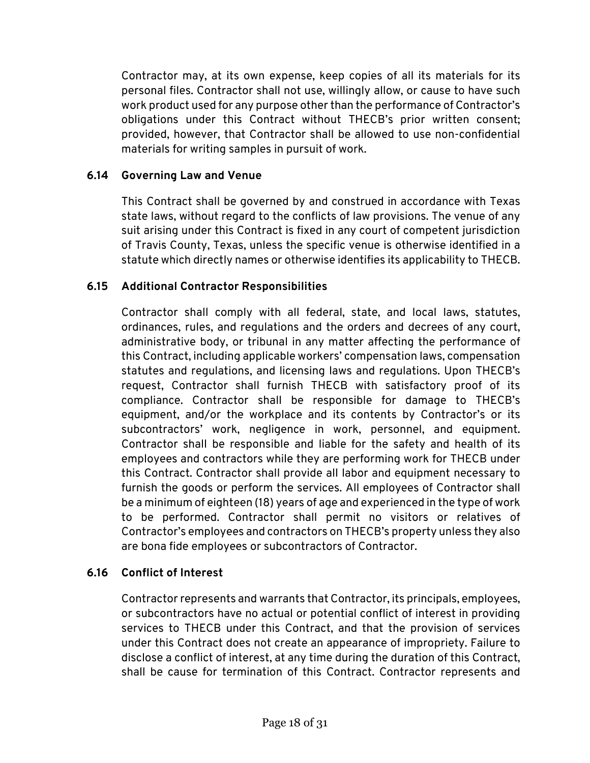Contractor may, at its own expense, keep copies of all its materials for its personal files. Contractor shall not use, willingly allow, or cause to have such work product used for any purpose other than the performance of Contractor's obligations under this Contract without THECB's prior written consent; provided, however, that Contractor shall be allowed to use non-confidential materials for writing samples in pursuit of work.

# **6.14 Governing Law and Venue**

This Contract shall be governed by and construed in accordance with Texas state laws, without regard to the conflicts of law provisions. The venue of any suit arising under this Contract is fixed in any court of competent jurisdiction of Travis County, Texas, unless the specific venue is otherwise identified in a statute which directly names or otherwise identifies its applicability to THECB.

# **6.15 Additional Contractor Responsibilities**

Contractor shall comply with all federal, state, and local laws, statutes, ordinances, rules, and regulations and the orders and decrees of any court, administrative body, or tribunal in any matter affecting the performance of this Contract, including applicable workers' compensation laws, compensation statutes and regulations, and licensing laws and regulations. Upon THECB's request, Contractor shall furnish THECB with satisfactory proof of its compliance. Contractor shall be responsible for damage to THECB's equipment, and/or the workplace and its contents by Contractor's or its subcontractors' work, negligence in work, personnel, and equipment. Contractor shall be responsible and liable for the safety and health of its employees and contractors while they are performing work for THECB under this Contract. Contractor shall provide all labor and equipment necessary to furnish the goods or perform the services. All employees of Contractor shall be a minimum of eighteen (18) years of age and experienced in the type of work to be performed. Contractor shall permit no visitors or relatives of Contractor's employees and contractors on THECB's property unless they also are bona fide employees or subcontractors of Contractor.

# **6.16 Conflict of Interest**

Contractor represents and warrants that Contractor, its principals, employees, or subcontractors have no actual or potential conflict of interest in providing services to THECB under this Contract, and that the provision of services under this Contract does not create an appearance of impropriety. Failure to disclose a conflict of interest, at any time during the duration of this Contract, shall be cause for termination of this Contract. Contractor represents and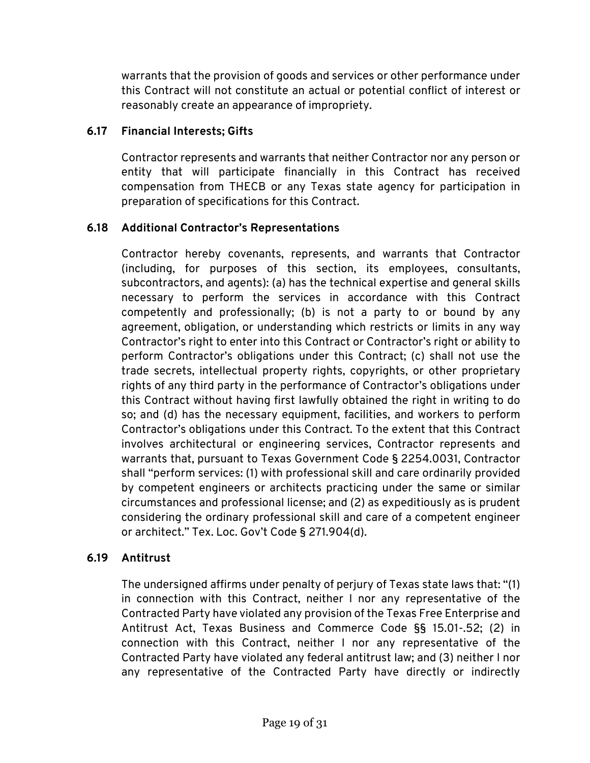warrants that the provision of goods and services or other performance under this Contract will not constitute an actual or potential conflict of interest or reasonably create an appearance of impropriety.

# **6.17 Financial Interests; Gifts**

Contractor represents and warrants that neither Contractor nor any person or entity that will participate financially in this Contract has received compensation from THECB or any Texas state agency for participation in preparation of specifications for this Contract.

# **6.18 Additional Contractor's Representations**

Contractor hereby covenants, represents, and warrants that Contractor (including, for purposes of this section, its employees, consultants, subcontractors, and agents): (a) has the technical expertise and general skills necessary to perform the services in accordance with this Contract competently and professionally; (b) is not a party to or bound by any agreement, obligation, or understanding which restricts or limits in any way Contractor's right to enter into this Contract or Contractor's right or ability to perform Contractor's obligations under this Contract; (c) shall not use the trade secrets, intellectual property rights, copyrights, or other proprietary rights of any third party in the performance of Contractor's obligations under this Contract without having first lawfully obtained the right in writing to do so; and (d) has the necessary equipment, facilities, and workers to perform Contractor's obligations under this Contract. To the extent that this Contract involves architectural or engineering services, Contractor represents and warrants that, pursuant to Texas Government Code § 2254.0031, Contractor shall "perform services: (1) with professional skill and care ordinarily provided by competent engineers or architects practicing under the same or similar circumstances and professional license; and (2) as expeditiously as is prudent considering the ordinary professional skill and care of a competent engineer or architect." Tex. Loc. Gov't Code § 271.904(d).

# **6.19 Antitrust**

The undersigned affirms under penalty of perjury of Texas state laws that: "(1) in connection with this Contract, neither I nor any representative of the Contracted Party have violated any provision of the Texas Free Enterprise and Antitrust Act, Texas Business and Commerce Code §§ 15.01-.52; (2) in connection with this Contract, neither I nor any representative of the Contracted Party have violated any federal antitrust law; and (3) neither I nor any representative of the Contracted Party have directly or indirectly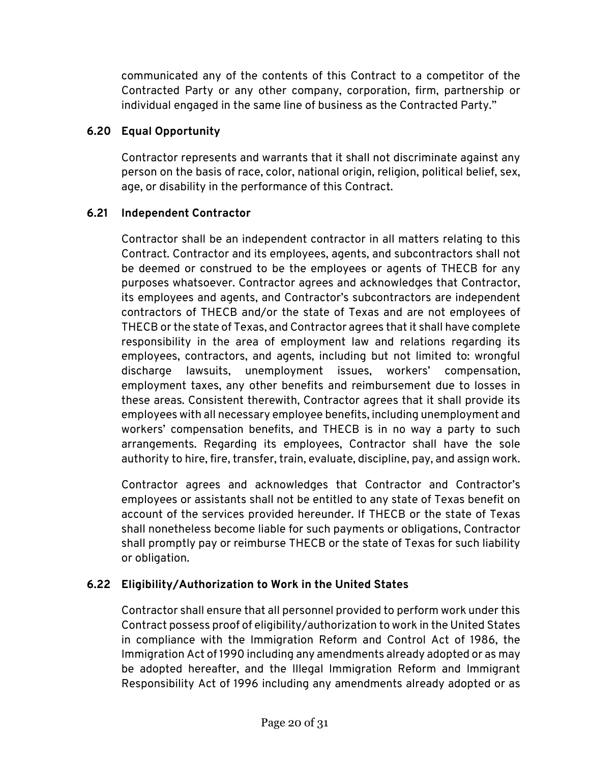communicated any of the contents of this Contract to a competitor of the Contracted Party or any other company, corporation, firm, partnership or individual engaged in the same line of business as the Contracted Party."

# **6.20 Equal Opportunity**

Contractor represents and warrants that it shall not discriminate against any person on the basis of race, color, national origin, religion, political belief, sex, age, or disability in the performance of this Contract.

# **6.21 Independent Contractor**

Contractor shall be an independent contractor in all matters relating to this Contract. Contractor and its employees, agents, and subcontractors shall not be deemed or construed to be the employees or agents of THECB for any purposes whatsoever. Contractor agrees and acknowledges that Contractor, its employees and agents, and Contractor's subcontractors are independent contractors of THECB and/or the state of Texas and are not employees of THECB or the state of Texas, and Contractor agrees that it shall have complete responsibility in the area of employment law and relations regarding its employees, contractors, and agents, including but not limited to: wrongful discharge lawsuits, unemployment issues, workers' compensation, employment taxes, any other benefits and reimbursement due to losses in these areas. Consistent therewith, Contractor agrees that it shall provide its employees with all necessary employee benefits, including unemployment and workers' compensation benefits, and THECB is in no way a party to such arrangements. Regarding its employees, Contractor shall have the sole authority to hire, fire, transfer, train, evaluate, discipline, pay, and assign work.

Contractor agrees and acknowledges that Contractor and Contractor's employees or assistants shall not be entitled to any state of Texas benefit on account of the services provided hereunder. If THECB or the state of Texas shall nonetheless become liable for such payments or obligations, Contractor shall promptly pay or reimburse THECB or the state of Texas for such liability or obligation.

# **6.22 Eligibility/Authorization to Work in the United States**

Contractor shall ensure that all personnel provided to perform work under this Contract possess proof of eligibility/authorization to work in the United States in compliance with the Immigration Reform and Control Act of 1986, the Immigration Act of 1990 including any amendments already adopted or as may be adopted hereafter, and the Illegal Immigration Reform and Immigrant Responsibility Act of 1996 including any amendments already adopted or as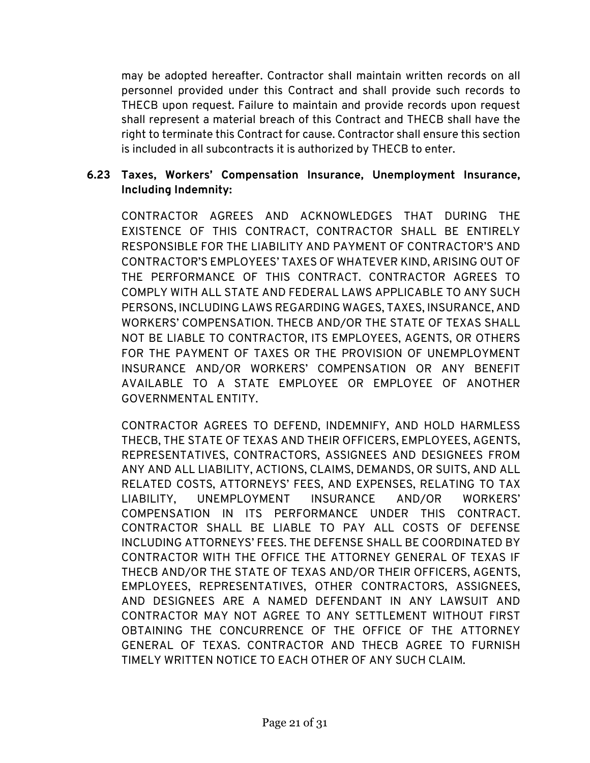may be adopted hereafter. Contractor shall maintain written records on all personnel provided under this Contract and shall provide such records to THECB upon request. Failure to maintain and provide records upon request shall represent a material breach of this Contract and THECB shall have the right to terminate this Contract for cause. Contractor shall ensure this section is included in all subcontracts it is authorized by THECB to enter.

# **6.23 Taxes, Workers' Compensation Insurance, Unemployment Insurance, Including Indemnity:**

CONTRACTOR AGREES AND ACKNOWLEDGES THAT DURING THE EXISTENCE OF THIS CONTRACT, CONTRACTOR SHALL BE ENTIRELY RESPONSIBLE FOR THE LIABILITY AND PAYMENT OF CONTRACTOR'S AND CONTRACTOR'S EMPLOYEES' TAXES OF WHATEVER KIND, ARISING OUT OF THE PERFORMANCE OF THIS CONTRACT. CONTRACTOR AGREES TO COMPLY WITH ALL STATE AND FEDERAL LAWS APPLICABLE TO ANY SUCH PERSONS, INCLUDING LAWS REGARDING WAGES, TAXES, INSURANCE, AND WORKERS' COMPENSATION. THECB AND/OR THE STATE OF TEXAS SHALL NOT BE LIABLE TO CONTRACTOR, ITS EMPLOYEES, AGENTS, OR OTHERS FOR THE PAYMENT OF TAXES OR THE PROVISION OF UNEMPLOYMENT INSURANCE AND/OR WORKERS' COMPENSATION OR ANY BENEFIT AVAILABLE TO A STATE EMPLOYEE OR EMPLOYEE OF ANOTHER GOVERNMENTAL ENTITY.

CONTRACTOR AGREES TO DEFEND, INDEMNIFY, AND HOLD HARMLESS THECB, THE STATE OF TEXAS AND THEIR OFFICERS, EMPLOYEES, AGENTS, REPRESENTATIVES, CONTRACTORS, ASSIGNEES AND DESIGNEES FROM ANY AND ALL LIABILITY, ACTIONS, CLAIMS, DEMANDS, OR SUITS, AND ALL RELATED COSTS, ATTORNEYS' FEES, AND EXPENSES, RELATING TO TAX LIABILITY, UNEMPLOYMENT INSURANCE AND/OR WORKERS' COMPENSATION IN ITS PERFORMANCE UNDER THIS CONTRACT. CONTRACTOR SHALL BE LIABLE TO PAY ALL COSTS OF DEFENSE INCLUDING ATTORNEYS' FEES. THE DEFENSE SHALL BE COORDINATED BY CONTRACTOR WITH THE OFFICE THE ATTORNEY GENERAL OF TEXAS IF THECB AND/OR THE STATE OF TEXAS AND/OR THEIR OFFICERS, AGENTS, EMPLOYEES, REPRESENTATIVES, OTHER CONTRACTORS, ASSIGNEES, AND DESIGNEES ARE A NAMED DEFENDANT IN ANY LAWSUIT AND CONTRACTOR MAY NOT AGREE TO ANY SETTLEMENT WITHOUT FIRST OBTAINING THE CONCURRENCE OF THE OFFICE OF THE ATTORNEY GENERAL OF TEXAS. CONTRACTOR AND THECB AGREE TO FURNISH TIMELY WRITTEN NOTICE TO EACH OTHER OF ANY SUCH CLAIM.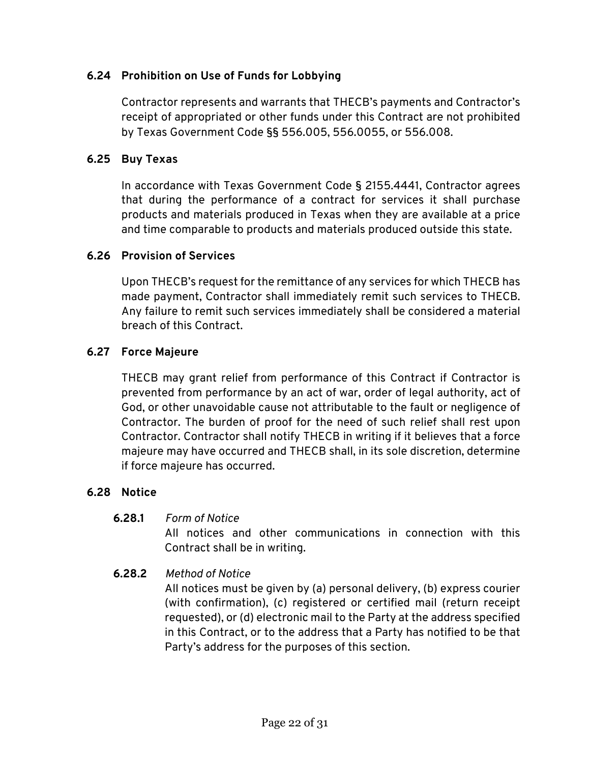# **6.24 Prohibition on Use of Funds for Lobbying**

Contractor represents and warrants that THECB's payments and Contractor's receipt of appropriated or other funds under this Contract are not prohibited by Texas Government Code §§ 556.005, 556.0055, or 556.008.

#### **6.25 Buy Texas**

In accordance with Texas Government Code § 2155.4441, Contractor agrees that during the performance of a contract for services it shall purchase products and materials produced in Texas when they are available at a price and time comparable to products and materials produced outside this state.

#### **6.26 Provision of Services**

Upon THECB's request for the remittance of any services for which THECB has made payment, Contractor shall immediately remit such services to THECB. Any failure to remit such services immediately shall be considered a material breach of this Contract.

#### **6.27 Force Majeure**

THECB may grant relief from performance of this Contract if Contractor is prevented from performance by an act of war, order of legal authority, act of God, or other unavoidable cause not attributable to the fault or negligence of Contractor. The burden of proof for the need of such relief shall rest upon Contractor. Contractor shall notify THECB in writing if it believes that a force majeure may have occurred and THECB shall, in its sole discretion, determine if force majeure has occurred.

#### **6.28 Notice**

#### **6.28.1** *Form of Notice*

All notices and other communications in connection with this Contract shall be in writing.

# **6.28.2** *Method of Notice*

All notices must be given by (a) personal delivery, (b) express courier (with confirmation), (c) registered or certified mail (return receipt requested), or (d) electronic mail to the Party at the address specified in this Contract, or to the address that a Party has notified to be that Party's address for the purposes of this section.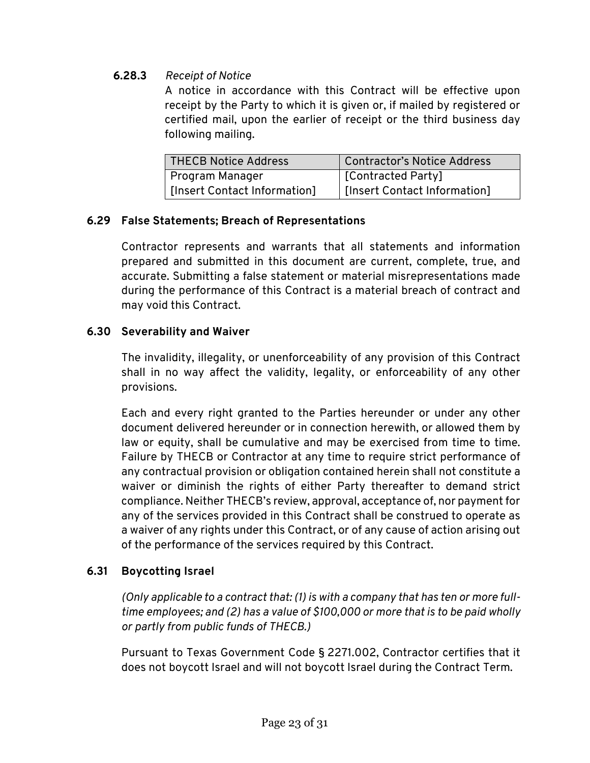# **6.28.3** *Receipt of Notice*

A notice in accordance with this Contract will be effective upon receipt by the Party to which it is given or, if mailed by registered or certified mail, upon the earlier of receipt or the third business day following mailing.

| THECB Notice Address         | Contractor's Notice Address  |
|------------------------------|------------------------------|
| Program Manager              | [Contracted Party]           |
| [Insert Contact Information] | [Insert Contact Information] |

# **6.29 False Statements; Breach of Representations**

Contractor represents and warrants that all statements and information prepared and submitted in this document are current, complete, true, and accurate. Submitting a false statement or material misrepresentations made during the performance of this Contract is a material breach of contract and may void this Contract.

# **6.30 Severability and Waiver**

The invalidity, illegality, or unenforceability of any provision of this Contract shall in no way affect the validity, legality, or enforceability of any other provisions.

Each and every right granted to the Parties hereunder or under any other document delivered hereunder or in connection herewith, or allowed them by law or equity, shall be cumulative and may be exercised from time to time. Failure by THECB or Contractor at any time to require strict performance of any contractual provision or obligation contained herein shall not constitute a waiver or diminish the rights of either Party thereafter to demand strict compliance. Neither THECB's review, approval, acceptance of, nor payment for any of the services provided in this Contract shall be construed to operate as a waiver of any rights under this Contract, or of any cause of action arising out of the performance of the services required by this Contract.

# **6.31 Boycotting Israel**

*(Only applicable to a contract that: (1) is with a company that has ten or more fulltime employees; and (2) has a value of \$100,000 or more that is to be paid wholly or partly from public funds of THECB.)*

Pursuant to Texas Government Code § 2271.002, Contractor certifies that it does not boycott Israel and will not boycott Israel during the Contract Term.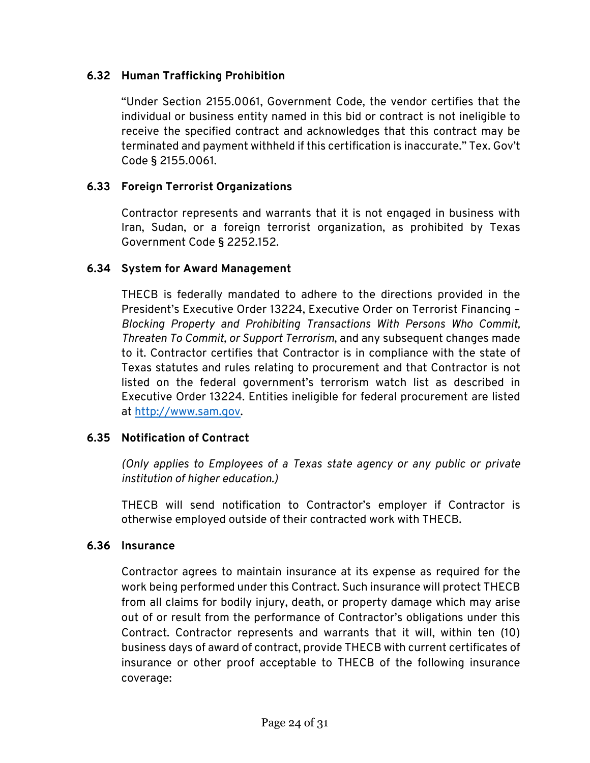# **6.32 Human Trafficking Prohibition**

"Under Section 2155.0061, Government Code, the vendor certifies that the individual or business entity named in this bid or contract is not ineligible to receive the specified contract and acknowledges that this contract may be terminated and payment withheld if this certification is inaccurate." Tex. Gov't Code § 2155.0061.

#### **6.33 Foreign Terrorist Organizations**

Contractor represents and warrants that it is not engaged in business with Iran, Sudan, or a foreign terrorist organization, as prohibited by Texas Government Code § 2252.152.

#### **6.34 System for Award Management**

THECB is federally mandated to adhere to the directions provided in the President's Executive Order 13224, Executive Order on Terrorist Financing – *Blocking Property and Prohibiting Transactions With Persons Who Commit, Threaten To Commit, or Support Terrorism*, and any subsequent changes made to it. Contractor certifies that Contractor is in compliance with the state of Texas statutes and rules relating to procurement and that Contractor is not listed on the federal government's terrorism watch list as described in Executive Order 13224. Entities ineligible for federal procurement are listed at [http://www.sam.gov.](http://www.sam.gov/)

#### **6.35 Notification of Contract**

*(Only applies to Employees of a Texas state agency or any public or private institution of higher education.)*

THECB will send notification to Contractor's employer if Contractor is otherwise employed outside of their contracted work with THECB.

#### **6.36 Insurance**

Contractor agrees to maintain insurance at its expense as required for the work being performed under this Contract. Such insurance will protect THECB from all claims for bodily injury, death, or property damage which may arise out of or result from the performance of Contractor's obligations under this Contract. Contractor represents and warrants that it will, within ten (10) business days of award of contract, provide THECB with current certificates of insurance or other proof acceptable to THECB of the following insurance coverage: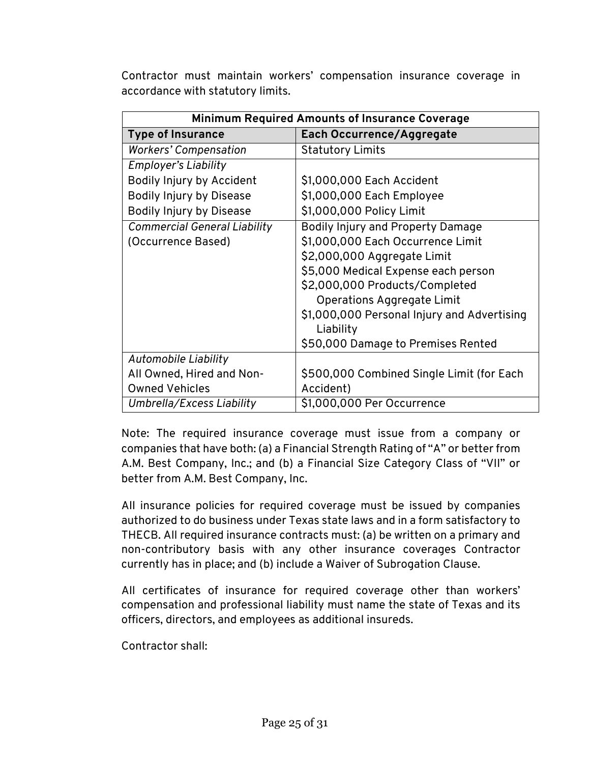Contractor must maintain workers' compensation insurance coverage in accordance with statutory limits.

| <b>Minimum Required Amounts of Insurance Coverage</b> |                                             |  |  |  |
|-------------------------------------------------------|---------------------------------------------|--|--|--|
| <b>Type of Insurance</b>                              | Each Occurrence/Aggregate                   |  |  |  |
| <b>Workers' Compensation</b>                          | <b>Statutory Limits</b>                     |  |  |  |
| <b>Employer's Liability</b>                           |                                             |  |  |  |
| Bodily Injury by Accident                             | \$1,000,000 Each Accident                   |  |  |  |
| Bodily Injury by Disease                              | \$1,000,000 Each Employee                   |  |  |  |
| Bodily Injury by Disease                              | \$1,000,000 Policy Limit                    |  |  |  |
| <b>Commercial General Liability</b>                   | Bodily Injury and Property Damage           |  |  |  |
| (Occurrence Based)                                    | \$1,000,000 Each Occurrence Limit           |  |  |  |
|                                                       | \$2,000,000 Aggregate Limit                 |  |  |  |
|                                                       | \$5,000 Medical Expense each person         |  |  |  |
|                                                       | \$2,000,000 Products/Completed              |  |  |  |
|                                                       | Operations Aggregate Limit                  |  |  |  |
|                                                       | \$1,000,000 Personal Injury and Advertising |  |  |  |
|                                                       | Liability                                   |  |  |  |
|                                                       | \$50,000 Damage to Premises Rented          |  |  |  |
| Automobile Liability                                  |                                             |  |  |  |
| All Owned, Hired and Non-                             | \$500,000 Combined Single Limit (for Each   |  |  |  |
| <b>Owned Vehicles</b>                                 | Accident)                                   |  |  |  |
| Umbrella/Excess Liability                             | \$1,000,000 Per Occurrence                  |  |  |  |

Note: The required insurance coverage must issue from a company or companies that have both: (a) a Financial Strength Rating of "A" or better from A.M. Best Company, Inc.; and (b) a Financial Size Category Class of "VII" or better from A.M. Best Company, Inc.

All insurance policies for required coverage must be issued by companies authorized to do business under Texas state laws and in a form satisfactory to THECB. All required insurance contracts must: (a) be written on a primary and non-contributory basis with any other insurance coverages Contractor currently has in place; and (b) include a Waiver of Subrogation Clause.

All certificates of insurance for required coverage other than workers' compensation and professional liability must name the state of Texas and its officers, directors, and employees as additional insureds.

Contractor shall: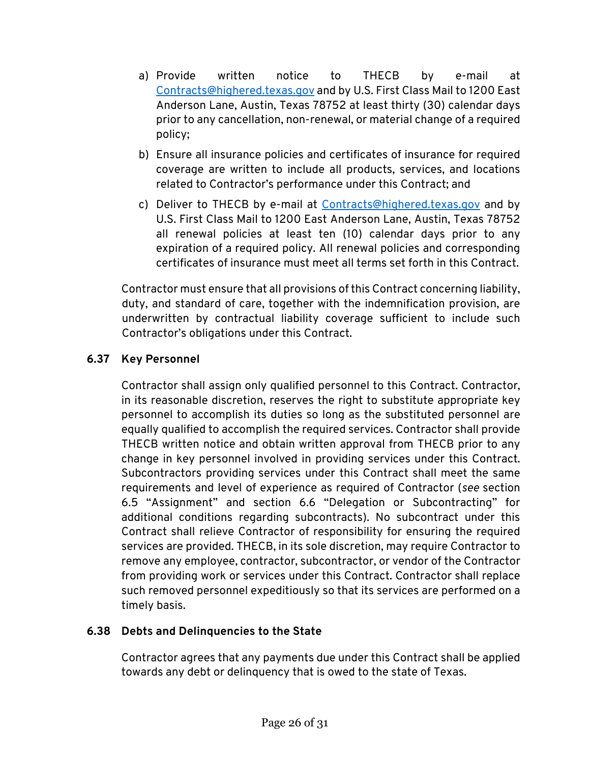- a) Provide written notice to THECB by e-mail at [Contracts@highered.texas.gov](mailto:Contracts@highered.texas.gov) and by U.S. First Class Mail to 1200 East Anderson Lane, Austin, Texas 78752 at least thirty (30) calendar days prior to any cancellation, non-renewal, or material change of a required policy;
- b) Ensure all insurance policies and certificates of insurance for required coverage are written to include all products, services, and locations related to Contractor's performance under this Contract; and
- c) Deliver to THECB by e-mail at [Contracts@highered.texas.gov](mailto:Contracts@highered.texas.gov) and by U.S. First Class Mail to 1200 East Anderson Lane, Austin, Texas 78752 all renewal policies at least ten (10) calendar days prior to any expiration of a required policy. All renewal policies and corresponding certificates of insurance must meet all terms set forth in this Contract.

Contractor must ensure that all provisions of this Contract concerning liability, duty, and standard of care, together with the indemnification provision, are underwritten by contractual liability coverage sufficient to include such Contractor's obligations under this Contract.

# **6.37 Key Personnel**

Contractor shall assign only qualified personnel to this Contract. Contractor, in its reasonable discretion, reserves the right to substitute appropriate key personnel to accomplish its duties so long as the substituted personnel are equally qualified to accomplish the required services. Contractor shall provide THECB written notice and obtain written approval from THECB prior to any change in key personnel involved in providing services under this Contract. Subcontractors providing services under this Contract shall meet the same requirements and level of experience as required of Contractor (*see* section 6.5 "Assignment" and section 6.6 "Delegation or Subcontracting" for additional conditions regarding subcontracts). No subcontract under this Contract shall relieve Contractor of responsibility for ensuring the required services are provided. THECB, in its sole discretion, may require Contractor to remove any employee, contractor, subcontractor, or vendor of the Contractor from providing work or services under this Contract. Contractor shall replace such removed personnel expeditiously so that its services are performed on a timely basis.

# **6.38 Debts and Delinquencies to the State**

Contractor agrees that any payments due under this Contract shall be applied towards any debt or delinquency that is owed to the state of Texas.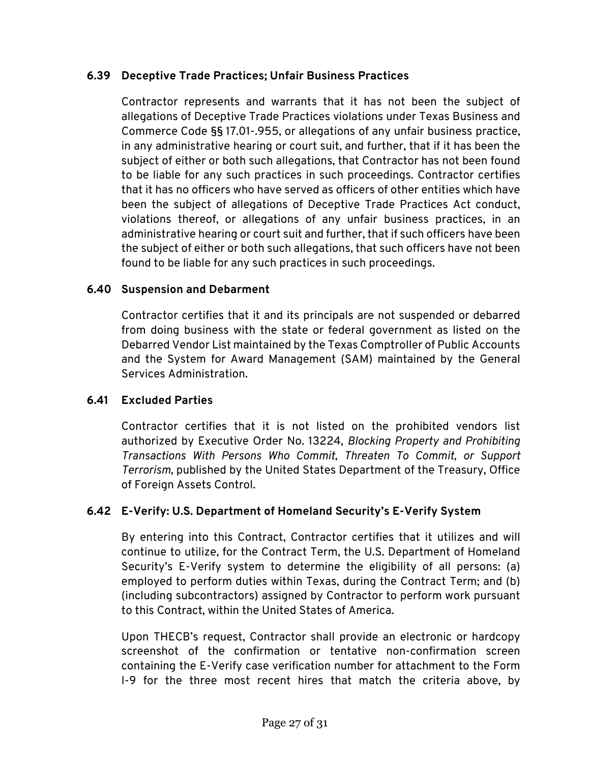### **6.39 Deceptive Trade Practices; Unfair Business Practices**

Contractor represents and warrants that it has not been the subject of allegations of Deceptive Trade Practices violations under Texas Business and Commerce Code §§ 17.01-.955, or allegations of any unfair business practice, in any administrative hearing or court suit, and further, that if it has been the subject of either or both such allegations, that Contractor has not been found to be liable for any such practices in such proceedings. Contractor certifies that it has no officers who have served as officers of other entities which have been the subject of allegations of Deceptive Trade Practices Act conduct, violations thereof, or allegations of any unfair business practices, in an administrative hearing or court suit and further, that if such officers have been the subject of either or both such allegations, that such officers have not been found to be liable for any such practices in such proceedings.

#### **6.40 Suspension and Debarment**

Contractor certifies that it and its principals are not suspended or debarred from doing business with the state or federal government as listed on the Debarred Vendor List maintained by the Texas Comptroller of Public Accounts and the System for Award Management (SAM) maintained by the General Services Administration.

# **6.41 Excluded Parties**

Contractor certifies that it is not listed on the prohibited vendors list authorized by Executive Order No. 13224, *Blocking Property and Prohibiting Transactions With Persons Who Commit, Threaten To Commit, or Support Terrorism*, published by the United States Department of the Treasury, Office of Foreign Assets Control.

# **6.42 E-Verify: U.S. Department of Homeland Security's E-Verify System**

By entering into this Contract, Contractor certifies that it utilizes and will continue to utilize, for the Contract Term, the U.S. Department of Homeland Security's E-Verify system to determine the eligibility of all persons: (a) employed to perform duties within Texas, during the Contract Term; and (b) (including subcontractors) assigned by Contractor to perform work pursuant to this Contract, within the United States of America.

Upon THECB's request, Contractor shall provide an electronic or hardcopy screenshot of the confirmation or tentative non-confirmation screen containing the E-Verify case verification number for attachment to the Form I-9 for the three most recent hires that match the criteria above, by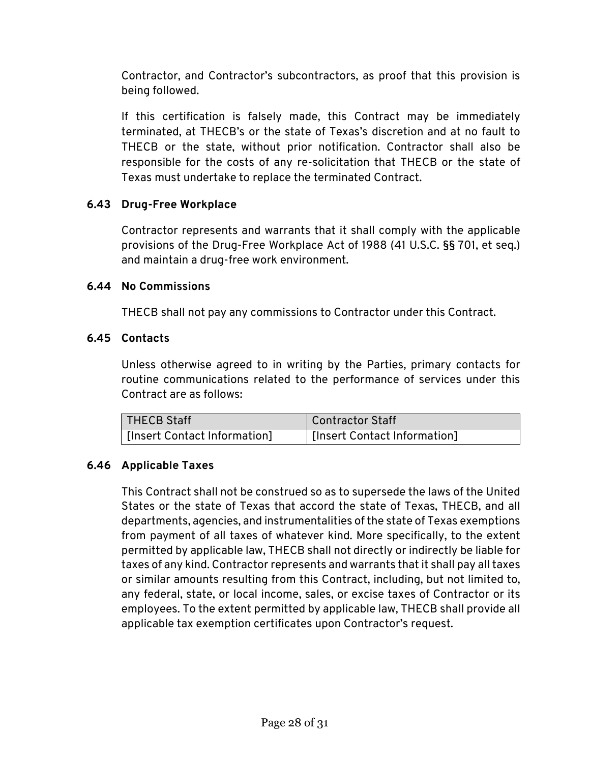Contractor, and Contractor's subcontractors, as proof that this provision is being followed.

If this certification is falsely made, this Contract may be immediately terminated, at THECB's or the state of Texas's discretion and at no fault to THECB or the state, without prior notification. Contractor shall also be responsible for the costs of any re-solicitation that THECB or the state of Texas must undertake to replace the terminated Contract.

# **6.43 Drug-Free Workplace**

Contractor represents and warrants that it shall comply with the applicable provisions of the Drug-Free Workplace Act of 1988 (41 U.S.C. §§ 701, et seq.) and maintain a drug-free work environment.

#### **6.44 No Commissions**

THECB shall not pay any commissions to Contractor under this Contract.

#### **6.45 Contacts**

Unless otherwise agreed to in writing by the Parties, primary contacts for routine communications related to the performance of services under this Contract are as follows:

| THECB Staff                  | Contractor Staff             |
|------------------------------|------------------------------|
| [Insert Contact Information] | [Insert Contact Information] |

# **6.46 Applicable Taxes**

This Contract shall not be construed so as to supersede the laws of the United States or the state of Texas that accord the state of Texas, THECB, and all departments, agencies, and instrumentalities of the state of Texas exemptions from payment of all taxes of whatever kind. More specifically, to the extent permitted by applicable law, THECB shall not directly or indirectly be liable for taxes of any kind. Contractor represents and warrants that it shall pay all taxes or similar amounts resulting from this Contract, including, but not limited to, any federal, state, or local income, sales, or excise taxes of Contractor or its employees. To the extent permitted by applicable law, THECB shall provide all applicable tax exemption certificates upon Contractor's request.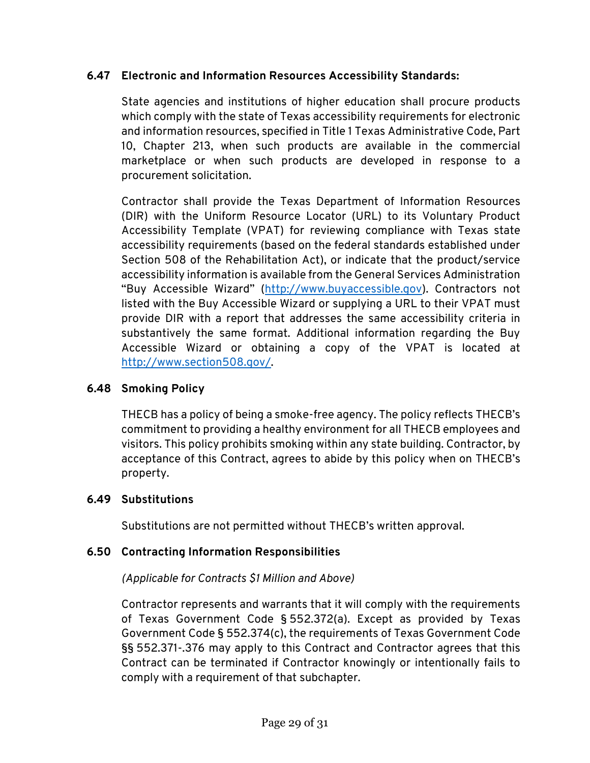# **6.47 Electronic and Information Resources Accessibility Standards:**

State agencies and institutions of higher education shall procure products which comply with the state of Texas accessibility requirements for electronic and information resources, specified in Title 1 Texas Administrative Code, Part 10, Chapter 213, when such products are available in the commercial marketplace or when such products are developed in response to a procurement solicitation.

Contractor shall provide the Texas Department of Information Resources (DIR) with the Uniform Resource Locator (URL) to its Voluntary Product Accessibility Template (VPAT) for reviewing compliance with Texas state accessibility requirements (based on the federal standards established under Section 508 of the Rehabilitation Act), or indicate that the product/service accessibility information is available from the General Services Administration "Buy Accessible Wizard" [\(http://www.buyaccessible.gov\)](http://www.buyaccessible.gov/). Contractors not listed with the Buy Accessible Wizard or supplying a URL to their VPAT must provide DIR with a report that addresses the same accessibility criteria in substantively the same format. Additional information regarding the Buy Accessible Wizard or obtaining a copy of the VPAT is located at [http://www.section508.gov/.](http://www.section508.gov/) 

# **6.48 Smoking Policy**

THECB has a policy of being a smoke-free agency. The policy reflects THECB's commitment to providing a healthy environment for all THECB employees and visitors. This policy prohibits smoking within any state building. Contractor, by acceptance of this Contract, agrees to abide by this policy when on THECB's property.

#### **6.49 Substitutions**

Substitutions are not permitted without THECB's written approval.

# **6.50 Contracting Information Responsibilities**

# *(Applicable for Contracts \$1 Million and Above)*

Contractor represents and warrants that it will comply with the requirements of Texas Government Code § 552.372(a). Except as provided by Texas Government Code § 552.374(c), the requirements of Texas Government Code §§ 552.371-.376 may apply to this Contract and Contractor agrees that this Contract can be terminated if Contractor knowingly or intentionally fails to comply with a requirement of that subchapter.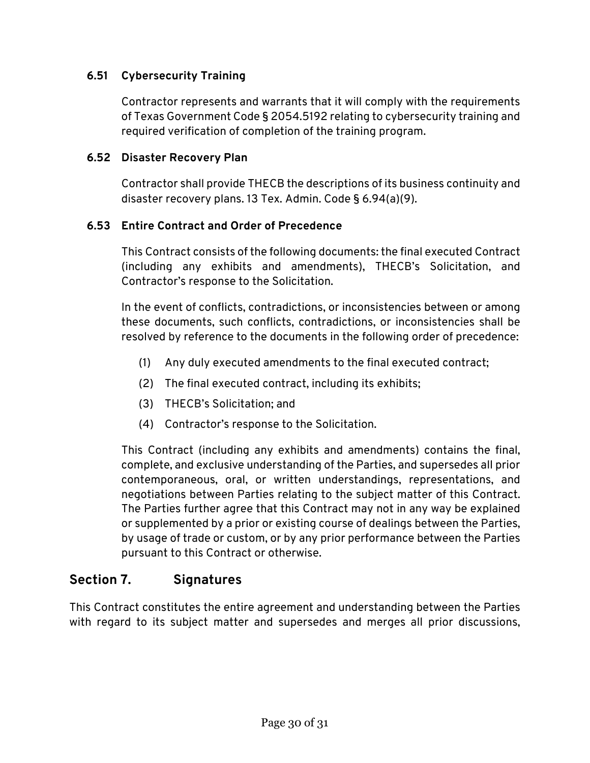### **6.51 Cybersecurity Training**

Contractor represents and warrants that it will comply with the requirements of Texas Government Code § 2054.5192 relating to cybersecurity training and required verification of completion of the training program.

#### **6.52 Disaster Recovery Plan**

Contractor shall provide THECB the descriptions of its business continuity and disaster recovery plans. 13 Tex. Admin. Code § 6.94(a)(9).

#### **6.53 Entire Contract and Order of Precedence**

This Contract consists of the following documents: the final executed Contract (including any exhibits and amendments), THECB's Solicitation, and Contractor's response to the Solicitation.

In the event of conflicts, contradictions, or inconsistencies between or among these documents, such conflicts, contradictions, or inconsistencies shall be resolved by reference to the documents in the following order of precedence:

- (1) Any duly executed amendments to the final executed contract;
- (2) The final executed contract, including its exhibits;
- (3) THECB's Solicitation; and
- (4) Contractor's response to the Solicitation.

This Contract (including any exhibits and amendments) contains the final, complete, and exclusive understanding of the Parties, and supersedes all prior contemporaneous, oral, or written understandings, representations, and negotiations between Parties relating to the subject matter of this Contract. The Parties further agree that this Contract may not in any way be explained or supplemented by a prior or existing course of dealings between the Parties, by usage of trade or custom, or by any prior performance between the Parties pursuant to this Contract or otherwise.

# **Section 7. Signatures**

This Contract constitutes the entire agreement and understanding between the Parties with regard to its subject matter and supersedes and merges all prior discussions,